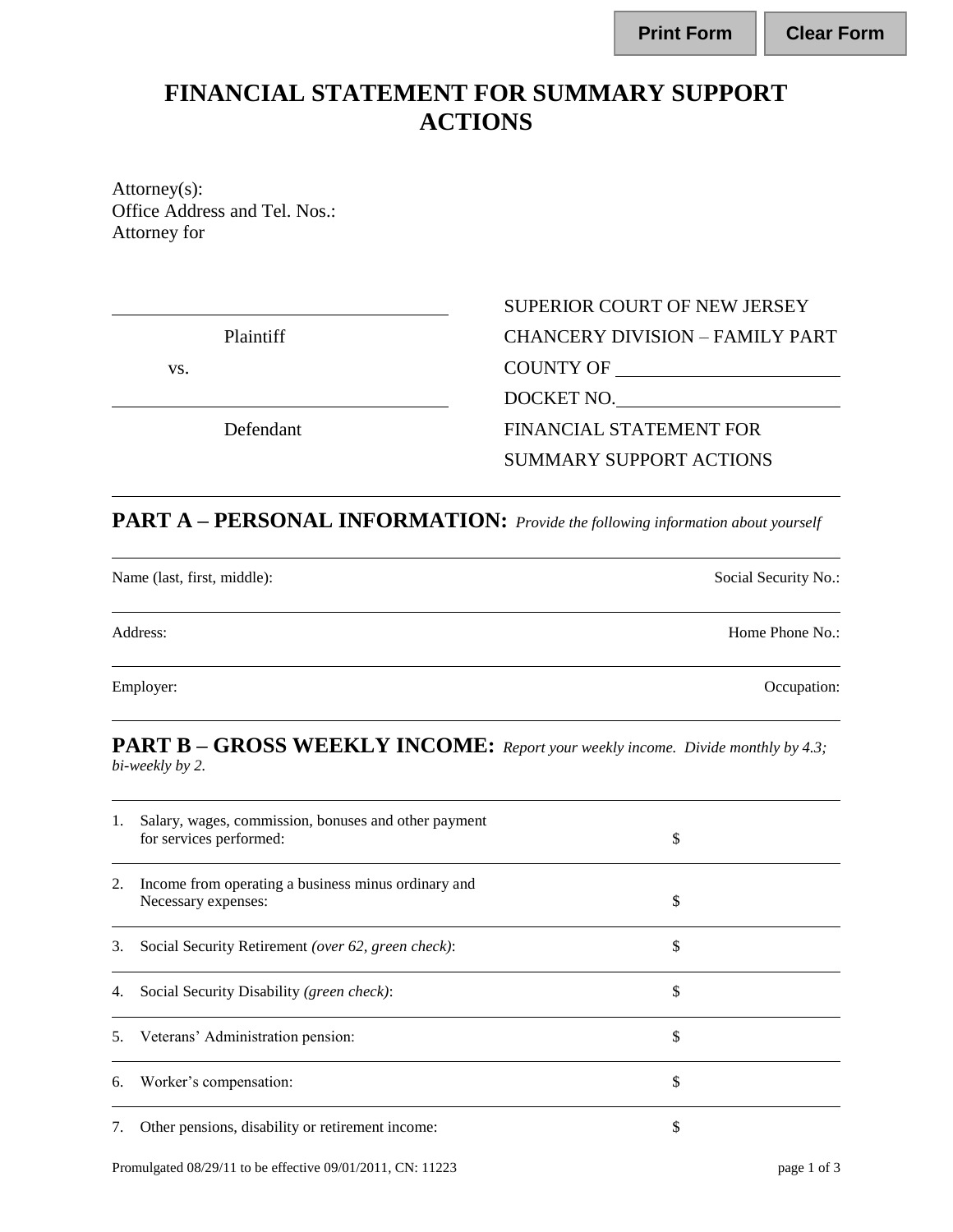## **FINANCIAL STATEMENT FOR SUMMARY SUPPORT ACTIONS**

Attorney(s): Office Address and Tel. Nos.: Attorney for

# Plaintiff CHANCERY DIVISION – FAMILY PART vs. COUNTY OF DOCKET NO. Defendant FINANCIAL STATEMENT FOR SUMMARY SUPPORT ACTIONS

SUPERIOR COURT OF NEW JERSEY

# **PART A – PERSONAL INFORMATION:** *Provide the following information about yourself*

Name (last, first, middle): Social Security No.: Social Security No.:

Employer: Comparison: Occupation: Comparison: Occupation: Occupation: Occupation: Occupation: Occupation: Occupation: Occupation: Occupation: Occupation: Occupation: Occupation: Occupation: Occupation: Occupation: Occupati

### **PART B – GROSS WEEKLY INCOME:** *Report your weekly income. Divide monthly by 4.3; bi-weekly by 2.*

| 1. | Salary, wages, commission, bonuses and other payment<br>for services performed: | \$ |
|----|---------------------------------------------------------------------------------|----|
| 2. | Income from operating a business minus ordinary and<br>Necessary expenses:      | \$ |
| 3. | Social Security Retirement (over 62, green check):                              | \$ |
| 4. | Social Security Disability (green check):                                       | \$ |
| 5. | Veterans' Administration pension:                                               | S  |
| 6. | Worker's compensation:                                                          | S  |
| 7. | Other pensions, disability or retirement income:                                |    |

| Print Form | <b>Clear Form</b> |
|------------|-------------------|
|            |                   |

Address: Home Phone No.: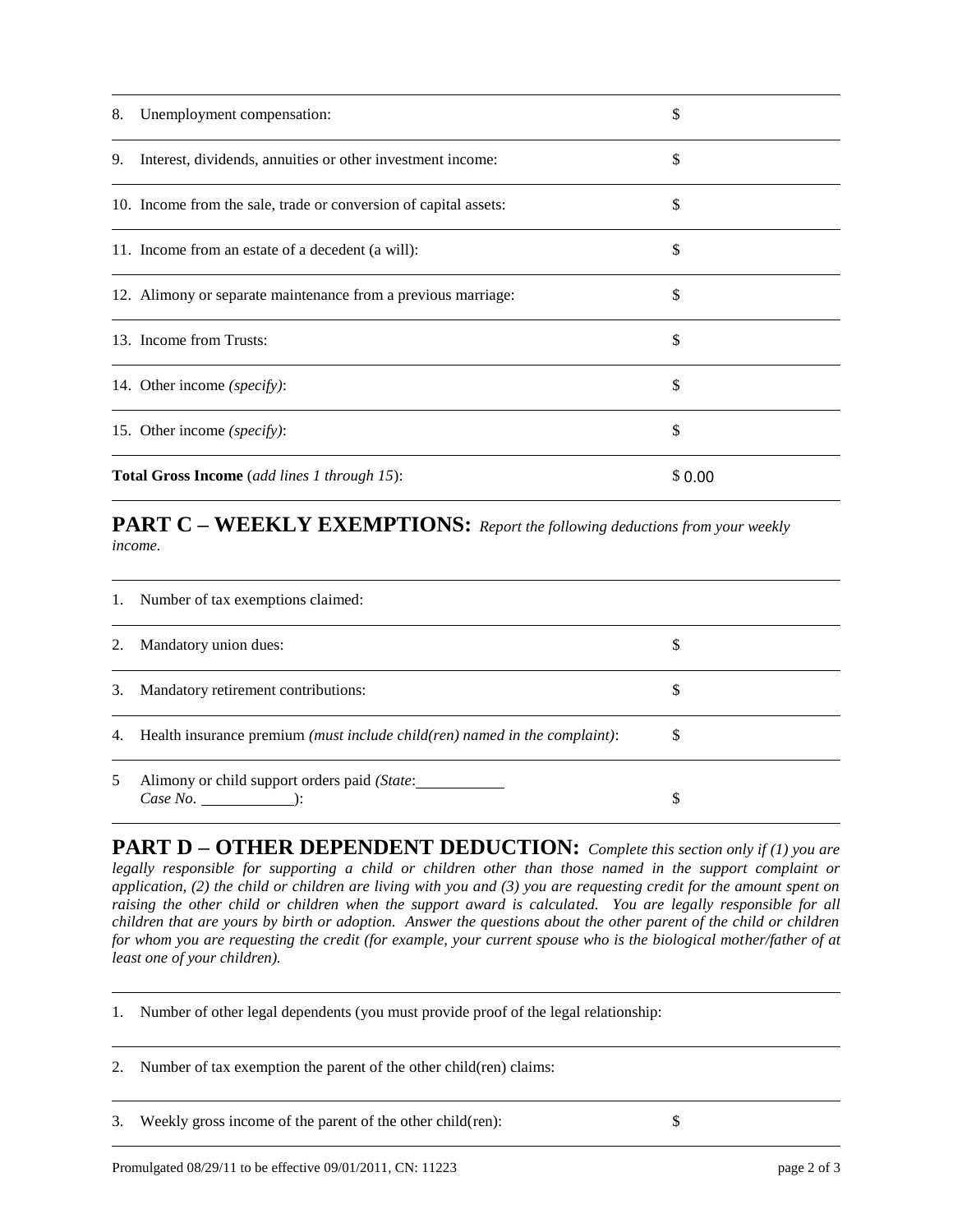| 8. | Unemployment compensation:                                       | S      |
|----|------------------------------------------------------------------|--------|
| 9. | Interest, dividends, annuities or other investment income:       | \$     |
|    | 10. Income from the sale, trade or conversion of capital assets: |        |
|    | 11. Income from an estate of a decedent (a will):                | \$     |
|    | 12. Alimony or separate maintenance from a previous marriage:    | \$     |
|    | 13. Income from Trusts:                                          | \$     |
|    | 14. Other income (specify):                                      |        |
|    | 15. Other income (specify):                                      | \$     |
|    | <b>Total Gross Income</b> (add lines 1 through 15):              | \$0.00 |

## **PART C – WEEKLY EXEMPTIONS:** *Report the following deductions from your weekly income.*

| 1. | Number of tax exemptions claimed:                                                            |   |
|----|----------------------------------------------------------------------------------------------|---|
| 2. | Mandatory union dues:                                                                        |   |
| 3. | Mandatory retirement contributions:                                                          |   |
|    | 4. Health insurance premium <i>(must include child(ren)</i> named in the <i>complaint</i> ): | S |
| 5  | Alimony or child support orders paid (State:<br>$Case No.$ $):$                              | S |

**PART D – OTHER DEPENDENT DEDUCTION:** *Complete this section only if (1) you are legally responsible for supporting a child or children other than those named in the support complaint or application, (2) the child or children are living with you and (3) you are requesting credit for the amount spent on*  raising the other child or children when the support award is calculated. You are legally responsible for all *children that are yours by birth or adoption. Answer the questions about the other parent of the child or children for whom you are requesting the credit (for example, your current spouse who is the biological mother/father of at least one of your children).* 

1. Number of other legal dependents (you must provide proof of the legal relationship:

2. Number of tax exemption the parent of the other child(ren) claims:

3. Weekly gross income of the parent of the other child(ren): \$